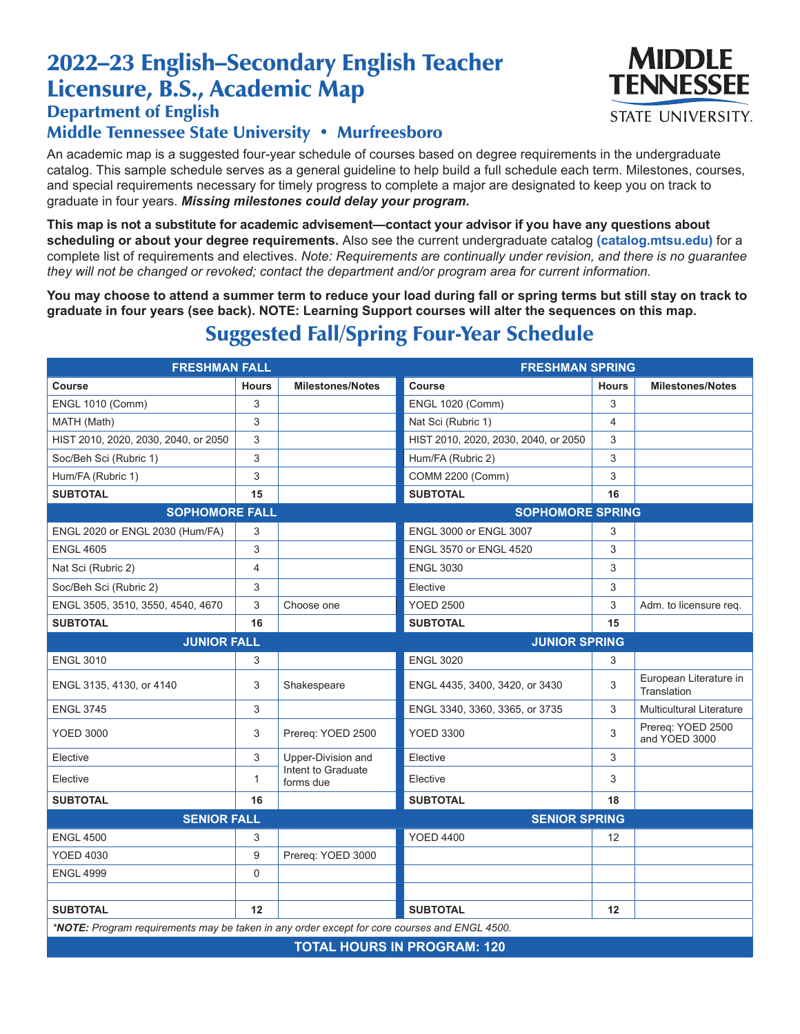# 2022–23 English–Secondary English Teacher Licensure, B.S., Academic Map



#### Department of English

#### Middle Tennessee State University • Murfreesboro

An academic map is a suggested four-year schedule of courses based on degree requirements in the undergraduate catalog. This sample schedule serves as a general guideline to help build a full schedule each term. Milestones, courses, and special requirements necessary for timely progress to complete a major are designated to keep you on track to graduate in four years. *Missing milestones could delay your program.*

**This map is not a substitute for academic advisement—contact your advisor if you have any questions about scheduling or about your degree requirements.** Also see the current undergraduate catalog **(catalog.mtsu.edu)** for a complete list of requirements and electives. *Note: Requirements are continually under revision, and there is no guarantee they will not be changed or revoked; contact the department and/or program area for current information.*

**You may choose to attend a summer term to reduce your load during fall or spring terms but still stay on track to graduate in four years (see back). NOTE: Learning Support courses will alter the sequences on this map.**

## Suggested Fall/Spring Four-Year Schedule

| <b>FRESHMAN FALL</b>                                                                         |                |                                 | <b>FRESHMAN SPRING</b>               |              |                                       |  |  |  |
|----------------------------------------------------------------------------------------------|----------------|---------------------------------|--------------------------------------|--------------|---------------------------------------|--|--|--|
| Course                                                                                       | <b>Hours</b>   | <b>Milestones/Notes</b>         | Course                               | <b>Hours</b> | <b>Milestones/Notes</b>               |  |  |  |
| <b>ENGL 1010 (Comm)</b>                                                                      | 3              |                                 | <b>ENGL 1020 (Comm)</b>              | 3            |                                       |  |  |  |
| MATH (Math)                                                                                  | 3              |                                 | Nat Sci (Rubric 1)                   | 4            |                                       |  |  |  |
| HIST 2010, 2020, 2030, 2040, or 2050                                                         | 3              |                                 | HIST 2010, 2020, 2030, 2040, or 2050 | 3            |                                       |  |  |  |
| Soc/Beh Sci (Rubric 1)                                                                       | 3              |                                 | Hum/FA (Rubric 2)                    | 3            |                                       |  |  |  |
| Hum/FA (Rubric 1)                                                                            | 3              |                                 | COMM 2200 (Comm)                     | 3            |                                       |  |  |  |
| <b>SUBTOTAL</b>                                                                              | 15             |                                 | <b>SUBTOTAL</b>                      | 16           |                                       |  |  |  |
| <b>SOPHOMORE FALL</b>                                                                        |                | <b>SOPHOMORE SPRING</b>         |                                      |              |                                       |  |  |  |
| ENGL 2020 or ENGL 2030 (Hum/FA)                                                              | 3              |                                 | ENGL 3000 or ENGL 3007               | 3            |                                       |  |  |  |
| <b>ENGL 4605</b>                                                                             | 3              |                                 | ENGL 3570 or ENGL 4520               | 3            |                                       |  |  |  |
| Nat Sci (Rubric 2)                                                                           | $\overline{4}$ |                                 | <b>ENGL 3030</b>                     | 3            |                                       |  |  |  |
| Soc/Beh Sci (Rubric 2)                                                                       | 3              |                                 | Elective                             | 3            |                                       |  |  |  |
| ENGL 3505, 3510, 3550, 4540, 4670                                                            | 3              | Choose one                      | <b>YOED 2500</b>                     | 3            | Adm. to licensure req.                |  |  |  |
| <b>SUBTOTAL</b>                                                                              | 16             |                                 | <b>SUBTOTAL</b>                      | 15           |                                       |  |  |  |
| <b>JUNIOR FALL</b>                                                                           |                | <b>JUNIOR SPRING</b>            |                                      |              |                                       |  |  |  |
| <b>ENGL 3010</b>                                                                             | 3              |                                 | <b>ENGL 3020</b>                     | 3            |                                       |  |  |  |
| ENGL 3135, 4130, or 4140                                                                     | 3              | Shakespeare                     | ENGL 4435, 3400, 3420, or 3430       | 3            | European Literature in<br>Translation |  |  |  |
| <b>ENGL 3745</b>                                                                             | 3              |                                 | ENGL 3340, 3360, 3365, or 3735       | 3            | <b>Multicultural Literature</b>       |  |  |  |
| <b>YOED 3000</b>                                                                             | 3              | Prereq: YOED 2500               | <b>YOED 3300</b>                     | 3            | Prereg: YOED 2500<br>and YOED 3000    |  |  |  |
| Elective                                                                                     | 3              | Upper-Division and              | Elective                             | 3            |                                       |  |  |  |
| Elective                                                                                     | 1              | Intent to Graduate<br>forms due | Elective                             | 3            |                                       |  |  |  |
| <b>SUBTOTAL</b>                                                                              | 16             |                                 | <b>SUBTOTAL</b>                      | 18           |                                       |  |  |  |
| <b>SENIOR FALL</b>                                                                           |                |                                 | <b>SENIOR SPRING</b>                 |              |                                       |  |  |  |
| <b>ENGL 4500</b>                                                                             | 3              |                                 | <b>YOED 4400</b>                     | 12           |                                       |  |  |  |
| <b>YOED 4030</b>                                                                             | 9              | Prereq: YOED 3000               |                                      |              |                                       |  |  |  |
| <b>ENGL 4999</b>                                                                             | 0              |                                 |                                      |              |                                       |  |  |  |
|                                                                                              |                |                                 |                                      |              |                                       |  |  |  |
| <b>SUBTOTAL</b>                                                                              | 12             |                                 | <b>SUBTOTAL</b>                      | 12           |                                       |  |  |  |
| *NOTE: Program requirements may be taken in any order except for core courses and ENGL 4500. |                |                                 |                                      |              |                                       |  |  |  |
| <b>TOTAL HOURS IN PROGRAM: 120</b>                                                           |                |                                 |                                      |              |                                       |  |  |  |